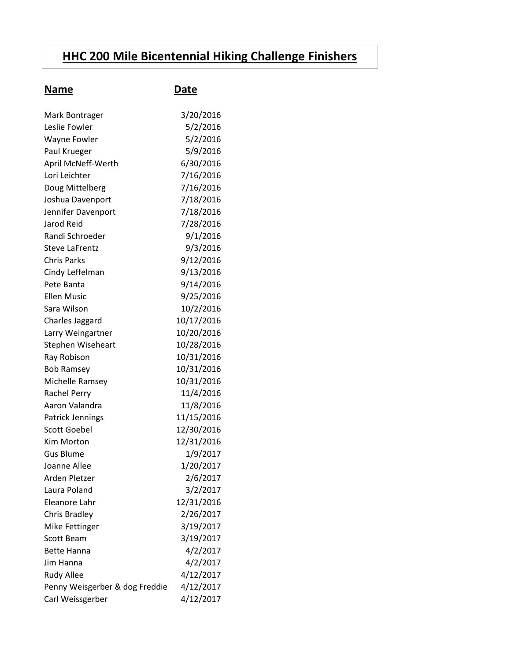## **HHC 200 Mile Bicentennial Hiking Challenge Finishers**

| Mark Bontrager                 | 3/20/2016  |
|--------------------------------|------------|
| Leslie Fowler                  | 5/2/2016   |
| Wayne Fowler                   | 5/2/2016   |
| Paul Krueger                   | 5/9/2016   |
| April McNeff-Werth             | 6/30/2016  |
| Lori Leichter                  | 7/16/2016  |
| Doug Mittelberg                | 7/16/2016  |
| Joshua Davenport               | 7/18/2016  |
| Jennifer Davenport             | 7/18/2016  |
| Jarod Reid                     | 7/28/2016  |
| Randi Schroeder                | 9/1/2016   |
| <b>Steve LaFrentz</b>          | 9/3/2016   |
| <b>Chris Parks</b>             | 9/12/2016  |
| Cindy Leffelman                | 9/13/2016  |
| Pete Banta                     | 9/14/2016  |
| <b>Ellen Music</b>             | 9/25/2016  |
| Sara Wilson                    | 10/2/2016  |
| Charles Jaggard                | 10/17/2016 |
| Larry Weingartner              | 10/20/2016 |
| Stephen Wiseheart              | 10/28/2016 |
| Ray Robison                    | 10/31/2016 |
| <b>Bob Ramsey</b>              | 10/31/2016 |
| Michelle Ramsey                | 10/31/2016 |
| <b>Rachel Perry</b>            | 11/4/2016  |
| Aaron Valandra                 | 11/8/2016  |
| Patrick Jennings               | 11/15/2016 |
| <b>Scott Goebel</b>            | 12/30/2016 |
| Kim Morton                     | 12/31/2016 |
| <b>Gus Blume</b>               | 1/9/2017   |
| Joanne Allee                   | 1/20/2017  |
| Arden Pletzer                  | 2/6/2017   |
| Laura Poland                   | 3/2/2017   |
| Eleanore Lahr                  | 12/31/2016 |
| <b>Chris Bradley</b>           | 2/26/2017  |
| Mike Fettinger                 | 3/19/2017  |
| <b>Scott Beam</b>              | 3/19/2017  |
| <b>Bette Hanna</b>             | 4/2/2017   |
| Jim Hanna                      | 4/2/2017   |
| <b>Rudy Allee</b>              | 4/12/2017  |
| Penny Weisgerber & dog Freddie | 4/12/2017  |
| Carl Weissgerber               | 4/12/2017  |

**Name Date**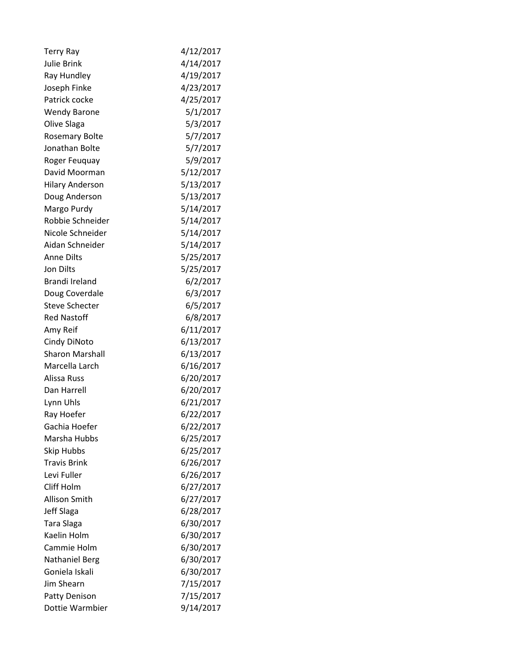| <b>Terry Ray</b>       | 4/12/2017 |
|------------------------|-----------|
| <b>Julie Brink</b>     | 4/14/2017 |
| Ray Hundley            | 4/19/2017 |
| Joseph Finke           | 4/23/2017 |
| Patrick cocke          | 4/25/2017 |
| <b>Wendy Barone</b>    | 5/1/2017  |
| Olive Slaga            | 5/3/2017  |
| <b>Rosemary Bolte</b>  | 5/7/2017  |
| Jonathan Bolte         | 5/7/2017  |
| Roger Feuquay          | 5/9/2017  |
| David Moorman          | 5/12/2017 |
| <b>Hilary Anderson</b> | 5/13/2017 |
| Doug Anderson          | 5/13/2017 |
| Margo Purdy            | 5/14/2017 |
| Robbie Schneider       | 5/14/2017 |
| Nicole Schneider       | 5/14/2017 |
| Aidan Schneider        | 5/14/2017 |
| <b>Anne Dilts</b>      | 5/25/2017 |
| <b>Jon Dilts</b>       | 5/25/2017 |
| Brandi Ireland         | 6/2/2017  |
| Doug Coverdale         | 6/3/2017  |
| <b>Steve Schecter</b>  | 6/5/2017  |
| <b>Red Nastoff</b>     | 6/8/2017  |
| Amy Reif               | 6/11/2017 |
| Cindy DiNoto           | 6/13/2017 |
| <b>Sharon Marshall</b> | 6/13/2017 |
| Marcella Larch         | 6/16/2017 |
| Alissa Russ            | 6/20/2017 |
| Dan Harrell            | 6/20/2017 |
| Lynn Uhls              | 6/21/2017 |
| Ray Hoefer             | 6/22/2017 |
| Gachia Hoefer          | 6/22/2017 |
| Marsha Hubbs           | 6/25/2017 |
| <b>Skip Hubbs</b>      | 6/25/2017 |
| <b>Travis Brink</b>    | 6/26/2017 |
| Levi Fuller            | 6/26/2017 |
| Cliff Holm             | 6/27/2017 |
| Allison Smith          | 6/27/2017 |
| Jeff Slaga             | 6/28/2017 |
| Tara Slaga             | 6/30/2017 |
| Kaelin Holm            | 6/30/2017 |
| Cammie Holm            | 6/30/2017 |
| <b>Nathaniel Berg</b>  | 6/30/2017 |
| Goniela Iskali         | 6/30/2017 |
| <b>Jim Shearn</b>      | 7/15/2017 |
| <b>Patty Denison</b>   | 7/15/2017 |
| Dottie Warmbier        | 9/14/2017 |